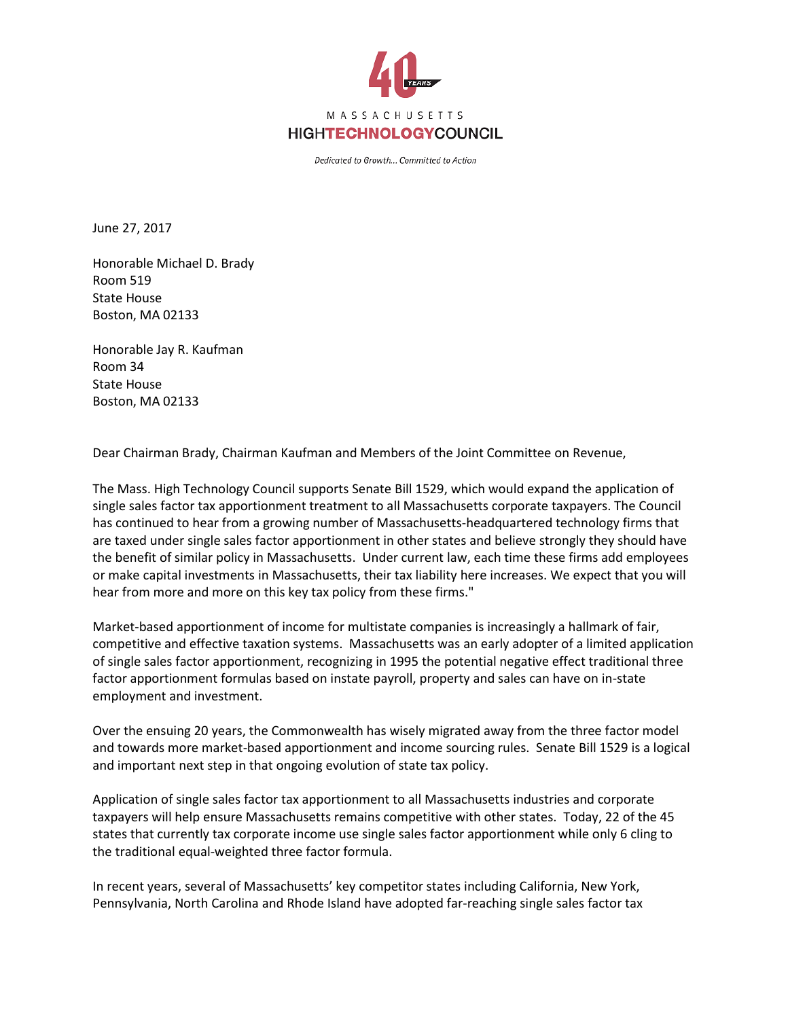

Dedicated to Growth... Committed to Action

June 27, 2017

Honorable Michael D. Brady Room 519 State House Boston, MA 02133

Honorable Jay R. Kaufman Room 34 State House Boston, MA 02133

Dear Chairman Brady, Chairman Kaufman and Members of the Joint Committee on Revenue,

The Mass. High Technology Council supports Senate Bill 1529, which would expand the application of single sales factor tax apportionment treatment to all Massachusetts corporate taxpayers. The Council has continued to hear from a growing number of Massachusetts-headquartered technology firms that are taxed under single sales factor apportionment in other states and believe strongly they should have the benefit of similar policy in Massachusetts. Under current law, each time these firms add employees or make capital investments in Massachusetts, their tax liability here increases. We expect that you will hear from more and more on this key tax policy from these firms."

Market-based apportionment of income for multistate companies is increasingly a hallmark of fair, competitive and effective taxation systems. Massachusetts was an early adopter of a limited application of single sales factor apportionment, recognizing in 1995 the potential negative effect traditional three factor apportionment formulas based on instate payroll, property and sales can have on in-state employment and investment.

Over the ensuing 20 years, the Commonwealth has wisely migrated away from the three factor model and towards more market-based apportionment and income sourcing rules. Senate Bill 1529 is a logical and important next step in that ongoing evolution of state tax policy.

Application of single sales factor tax apportionment to all Massachusetts industries and corporate taxpayers will help ensure Massachusetts remains competitive with other states. Today, 22 of the 45 states that currently tax corporate income use single sales factor apportionment while only 6 cling to the traditional equal-weighted three factor formula.

In recent years, several of Massachusetts' key competitor states including California, New York, Pennsylvania, North Carolina and Rhode Island have adopted far-reaching single sales factor tax